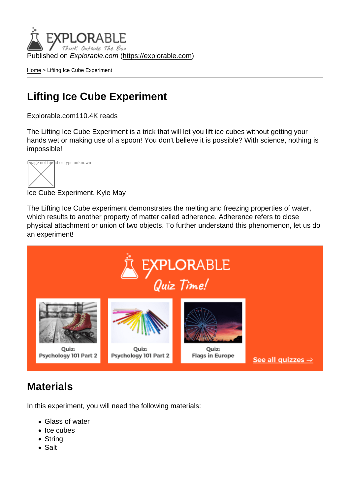Published on Explorable.com (<https://explorable.com>)

[Home](https://explorable.com/) > Lifting Ice Cube Experiment

## Lifting Ice Cube Experiment

Explorable.com110.4K reads

The Lifting Ice Cube Experiment is a trick that will let you lift ice cubes without getting your hands wet or making use of a spoon! You don't believe it is possible? With science, nothing is impossible!



Ice Cube Experiment, Kyle May

The Lifting Ice Cube experiment demonstrates the melting and freezing properties of water, which results to another property of matter called adherence. Adherence refers to close physical attachment or union of two objects. To further understand this phenomenon, let us do an experiment!

#### **Materials**

In this experiment, you will need the following materials:

- Glass of water
- Ice cubes
- String
- Salt